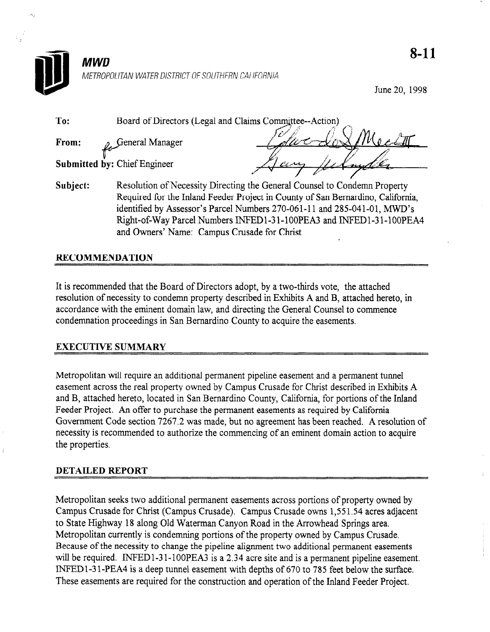

June 20, 1998

| To:      | Board of Directors (Legal and Claims Committee--Action)                         |
|----------|---------------------------------------------------------------------------------|
| From:    | General Manager                                                                 |
|          | Submitted by: Chief Engineer<br>Cerry                                           |
|          |                                                                                 |
| Subject: | Resolution of Necessity Directing the General Counsel to Condemn Property       |
|          | Required for the Inland Feeder Project in County of San Bernardino, California, |
|          | identified by Assessor's Parcel Numbers 270-061-11 and 285-041-01, MWD's        |
|          | Right-of-Way Parcel Numbers INFED1-31-100PEA3 and INFED1-31-100PEA4             |

## RECOMMENDATION

It is recommended that the Board of Directors adopt, by a two-thirds vote, the attached resolution of necessarily the condense of condense and  $\mu$ , by a recognition voice, included here to accordance of hoocenery to condominiproperty desertoed in Examples 24 and D, and note field accordance with the eminent domain law, and directing the General Counsel to commence condemnation proceedings in San Bernardino County to acquire the easements.

and Owners' Name: Campus Crusade for Christ

## EXECUTIVE SUMMARY

Metropolitan will require an additional permanent pipeline easement and a permanent tunnel easement will require an additional permanent pipeline easement and a permanent tunnel easement across the real property owned by Campus Crusade for Christ described in Exhibits A and B, attached hereto, located in San Bernardino County, California, for portions of the Inland Feeder Project. An offer to purchase the permanent easements as required by California Government Code section 7267.2 was made, but no agreement has been reached. A resolution of necessity is recommended to authorize the commencing of an eminent domain action to acquire<br>the properties.

#### **DETAILED REPORT**

Metropolitan seeks two additional permanent easements across portions of property owned by Campus Crusade for Christ (Campus Crusade). Campus Crusade owns 1,551.54 acres adjacent to State Highway 18 along Old Waterman Canyon Road in the Arrowhead Springs area. Metropolitan currently is condemning portions of the property owned by Campus Crusade. Because of the necessity to change the pipeline alignment two additional permanent easements will be required. INFED1-31-100PEA3 is a  $2.34$  acre site and is a permanent pipeline easement. INFED1-31-PEA4 is a deep tunnel easement with depths of 670 to 785 feet below the surface. These easements are required for the construction and operation of the Inland Feeder Project.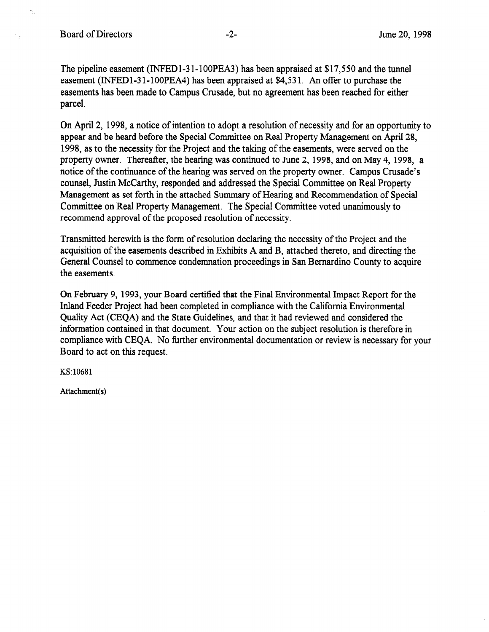۸J.

The pipeline easement (INFEDl-3 l-lOOPEA3) has been appraised at \$17,550 and the tunnel easement (INFEDl-3 l-lOOPEA4) has been appraised at \$4,53 1. An offer to purchase the easements has been made to Campus Crusade, but no agreement has been reached for either parcel.

On April 2, 1998, a notice of intention to adopt a resolution of necessity and for an opportunity to appear and be heard before the Special Committee on Real Property Management on April 28, 1998, as to the necessity for the Project and the taking of the easements, were served on the property owner. Thereafter, the hearing was continued to June 2, 1998, and on May 4, 1998, a notice of the continuance of the hearing was served on the property owner. Campus Crusade's counsel, Justin McCarthy, responded and addressed the Special Committee on Real Property Management as set forth in the attached Summary of Hearing and Recommendation of Special Committee on Real Property Management. The Special Committee voted unanimously to recommend approval of the proposed resolution of necessity.

Transmitted herewith is the form of resolution declaring the necessity of the Project and the acquisition of the easements described in Exhibits A and B, attached thereto, and directing the General Counsel to commence condemnation proceedings in San Bernardino County to acquire the easements.

On February 9, 1993, your Board certified that the Final Environmental Impact Report for the Inland Feeder Project had been completed in compliance with the California Environmental Quality Act (CEQA) and the State Guidelines, and that it had reviewed and considered the information contained in that document. Your action on the subject resolution is therefore in compliance with CEQA. No further environmental documentation or review is necessary for your Board to act on this request.

KS: 10681

Attachment(s)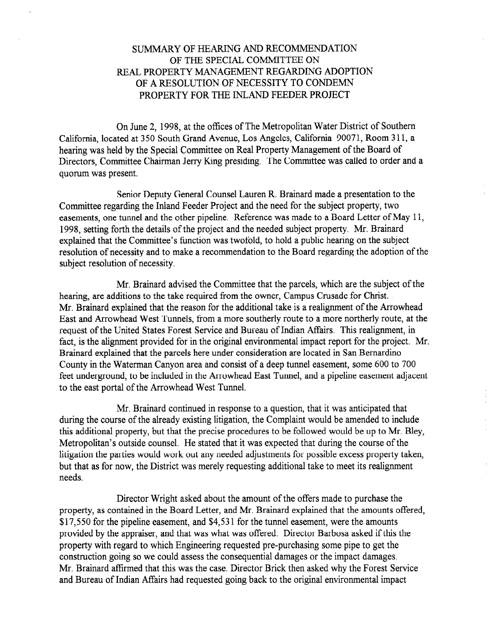# SUMMARY OF HEARING AND RECOMMENDATION OF THE SPECIAL COMMITTEE ON REAL PROPERTY MANAGEMENT REGARDING ADOPTION OF A RESOLUTION OF NECESSITY TO CONDEMN PROPERTY FOR THE INLAND FEEDER PROJECT

On June 2, 1998, at the offices of The Metropolitan Water District of Southern California, located at 350 South Grand Avenue, Los Angeles, California 90071, Room 3 11, a hearing was held by the Special Committee on Real Property Management of the Board of Directors, Committee Chairman Jerry Ring presiding. The Committee was called to order and a quorum was present.

Senior Deputy General Counsel Lauren R. Brainard made a presentation to the Committee regarding the Inland Feeder Project and the need for the subject property, two easements, one tunnel and the other pipeline. Reference was made to a Board Letter of May 11, 1998, setting forth the details of the project and the needed subject property. Mr. Brainard explained that the Committee's function was twofold, to hold a public hearing on the subject resolution of necessity and to make a recommendation to the Board regarding the adoption of the subject resolution of necessity.

Mr. Brainard advised the Committee that the parcels, which are the subject of the hearing, are additions to the take required from the owner, Campus Crusade for Christ. Mr. Brainard explained that the reason for the additional take is a realignment of the Arrowhead East and Arrowhead West Tunnels, from a more southerly route to a more northerly route, at the request of the United States Forest Service and Bureau of Indian Affairs. This realignment, in fact, is the alignment provided for in the original environmental impact report for the project. Mr. Brainard explained that the parcels here under consideration are located in San Bernardino County in the Waterman Canyon area and consist of a deep tunnel easement, some 600 to 700 feet underground, to be included in the Arrowhead East Tunnel, and a pipeline easement adjacent to the east portal of the Arrowhead West Tunnel.

Mr. Brainard continued in response to a question, that it was anticipated that during the course of the already existing litigation, the Complaint would be amended to include this additional property, but that the precise procedures to be followed would be up to Mr. Bley, Metropolitan's outside counsel. He stated that it was expected that during the course of the litigation the parties would work out any needed adjustments for possible excess property taken, but that as for now, the District was merely requesting additional take to meet its realignment needs.

Director Wright asked about the amount of the offers made to purchase the property, as contained in the Board Letter, and Mr. Brainard explained that the amounts offered, \$17,550 for the pipeline easement, and \$4,531 for the tunnel easement, were the amounts provided by the appraiser, and that was what was offered. Director Barbosa asked if this the property with regard to which Engineering requested pre-purchasing some pipe to get the construction going so we could assess the consequential damages or the impact damages. Mr. Brainard affirmed that this was the case. Director Brick then asked why the Forest Service and Bureau of Indian Affairs had requested going back to the original environmental impact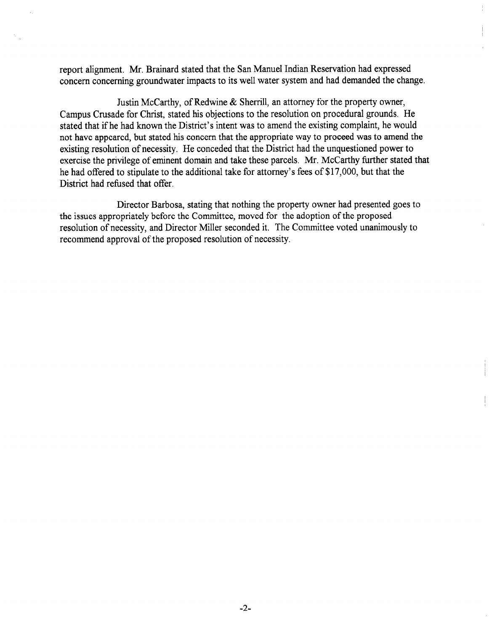report alignment. Mr. Brainard stated that the San Manuel Indian Reservation had expressed concern concerning groundwater impacts to its well water system and had demanded the change.

Justin McCarthy, of Redwine & Sherrill, an attorney for the property owner, Campus Crusade for Christ, stated his objections to the resolution on procedural grounds. He stated that if he had known the District's intent was to amend the existing complaint, he would not have appeared, but stated his concern that the appropriate way to proceed was to amend the existing resolution of necessity. He conceded that the District had the unquestioned power to exercise the privilege of eminent domain and take these parcels. Mr. McCarthy further stated that he had offered to stipulate to the additional take for attorney's fees of \$17,000, but that the District had refused that offer.

Director Barbosa, stating that nothing the property owner had presented goes to the issues appropriately before the Committee, moved for the adoption of the proposed resolution of necessity, and Director Miller seconded it. The Committee voted unanimously to recommend approval of the proposed resolution of necessity.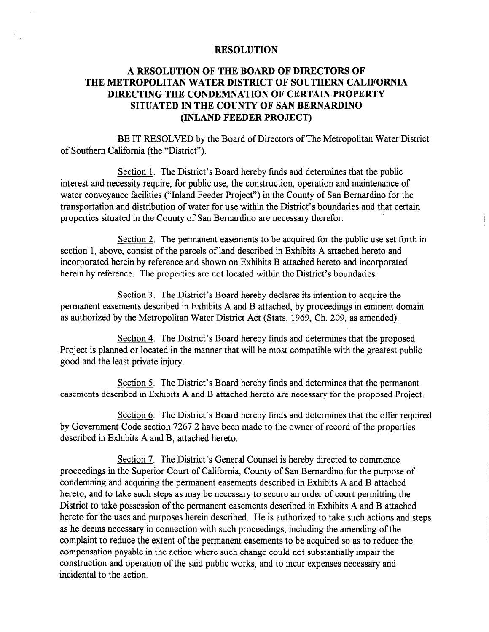## **RESOLUTION**

# A RESOLUTION OF THE BOARD OF DIRECTORS OF THE METROPOLITAN WATER DISTRICT OF SOUTHERN CALIFORNIA DIRECTING THE CONDEMNATION OF CERTAIN PROPERTY SITUATED IN THE COUNTY OF SAN BERNARDINO (INLAND FEEDER PROJECT)

BE IT RESOLVED by the Board of Directors of The Metropolitan Water District of Southern California (the "District").

Section 1. The District's Board hereby finds and determines that the public interest and necessity require, for public use, the construction, operation and maintenance of water conveyance facilities ("Inland Feeder Project") in the County of San Bernardino for the transportation and distribution of water for use within the District's boundaries and that certain properties situated in the County of San Bernardino are necessary therefor.

Section 2. The permanent easements to be acquired for the public use set forth in section 1, above, consist of the parcels of land described in Exhibits A attached hereto and incorporated herein by reference and shown on Exhibits B attached hereto and incorporated herein by reference. The properties are not located within the District's boundaries.

Section 3. The District's Board hereby declares its intention to acquire the permanent easements described in Exhibits A and B attached, by proceedings in eminent domain as authorized by the Metropolitan Water District Act (Stats. 1969, Ch. 209, as amended).

Section 4. The District's Board hereby finds and determines that the proposed Project is planned or located in the manner that will be most compatible with the greatest public good and the least private injury.

Section 5. The District's Board hereby finds and determines that the permanent easements described in Exhibits A and B attached hereto are necessary for the proposed Project,

Section 6. The District's Board hereby finds and determines that the offer required by Government Code section 7267.2 have been made to the owner of record of the properties described in Exhibits A and B, attached hereto.

Section 7. The District's General Counsel is hereby directed to commence proceedings in the Superior Court of California, County of San Bernardino for the purpose of condemning and acquiring the permanent easements described in Exhibits A and B attached hereto, and to take such steps as may be necessary to secure an order of court permitting the District to take possession of the permanent easements described in Exhibits A and B attached hereto for the uses and purposes herein described. He is authorized to take such actions and steps as he deems necessary in connection with such proceedings, including the amending of the complaint to reduce the extent of the permanent easements to be acquired so as to reduce the compensation payable in the action where such change could not substantially impair the construction and operation of the said public works, and to incur expenses necessary and incidental to the action,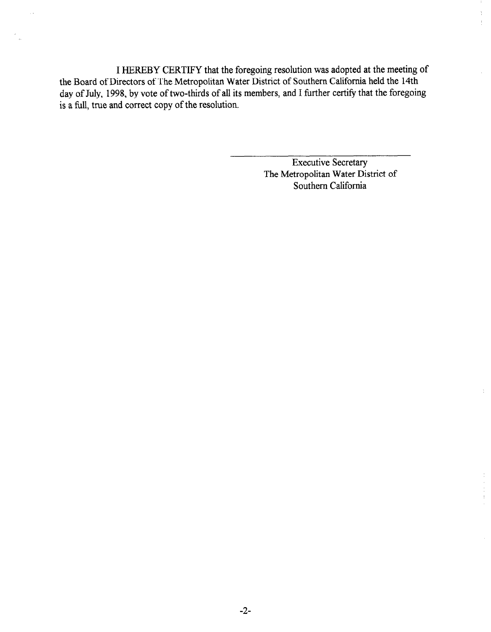I HEREBY CERTIFY that the foregoing resolution was adopted at the meeting of the Board of Directors of The Metropolitan Water District of Southern California held the 14th day of July, 1998, by vote of two-thirds of all its members, and I further certify that the foregoing is a full, true and correct copy of the resolution.

> Executive Secretary The Metropolitan Water District of Southern California

 $\frac{\lambda}{2}$  $\frac{1}{2}$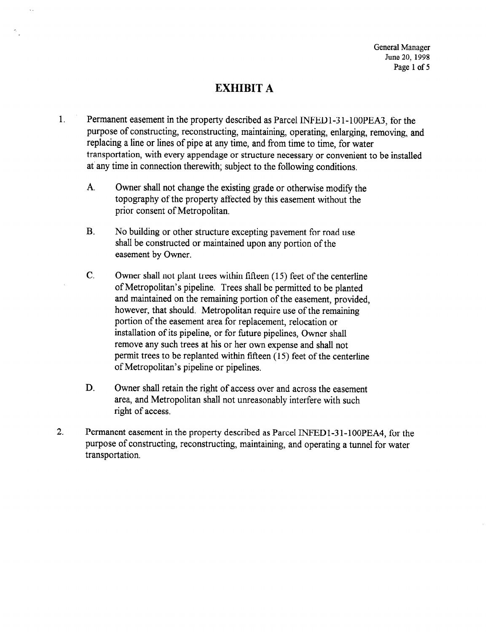# EXHIBIT A

 $\ddotsc$ 

- 1. Permanent easement in the property described as Parcel INFEDl-3 l-lOOPEA3, for the purpose of constructing, reconstructing, maintaining, operating, enlarging, removing, and replacing a line or lines of pipe at any time, and from time to time, for water transportation, with every appendage or structure necessary or convenient to be installed at'any time in connection therewith; subject to the following conditions.
	- A. Owner shall not change the existing grade or otherwise modify the topography of the property affected by this easement without the prior consent of Metropolitan.
	- B. No building or other structure excepting pavement for road use shall be constructed or maintained upon any portion of the easement by Owner.
	- C. Owner shall not plant trees within fifteen (15) feet of the centerline of Metropolitan's pipeline. Trees shall be permitted to be planted and maintained on the remaining portion of the easement, provided, however, that should. Metropolitan require use of the remaining portion of the easement area for replacement, relocation or installation of its pipeline, or for future pipelines, Owner shall remove any such trees at his or her own expense and shall not permit trees to be replanted within fifteen (15) feet of the centerline of Metropolitan's pipeline or pipelines.
	- D. Owner shall retain the right of access over and across the easement area, and Metropolitan shall not unreasonably interfere with such right of access.
- 2. Permanent easement in the property described as Parcel INFED l-3 I-100PEA4, for the purpose of constructing, reconstructing, maintaining, and operating a tunnel for water transportation.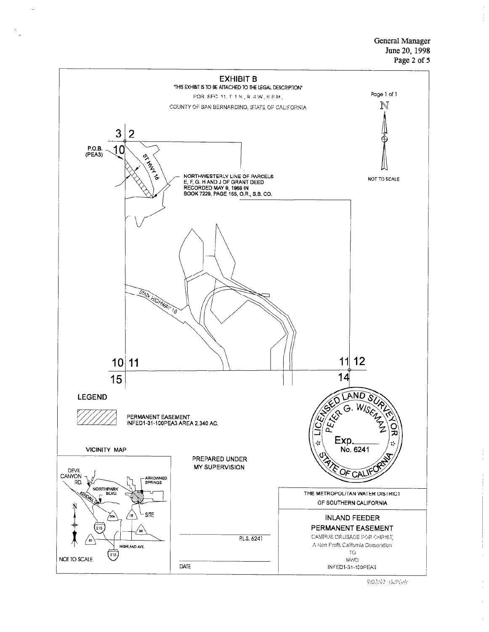General Manager June 20, 1998 Page 2 of 5



9/02/92 BanGW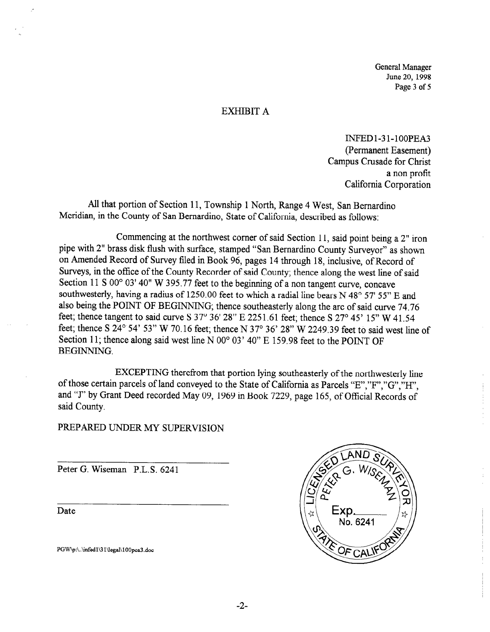General Manager June 20, 1998 Page 3 of 5

#### EXHIBIT A

INFEDl-31-lOOPEA (Permanent Easement) Campus Crusade for Christ a non profit California Corporation

All that portion of Section 11, Township 1 North, Range 4 West, San Bernardino Meridian, in the County of San Bernardino, State of California, described as follows:

Commencing at the northwest corner of said Section 11, said point being a 2" iron pipe with 2" brass disk flush with surface, stamped "San Bernardino County Surveyor" as shown on Amended Record of Survey filed in Book 96, pages 14 through 18, inclusive, of Record of Surveys, in the office of the County Recorder of said County; thence along the west line of said Section 11 S 00° 03' 40" W 395.77 feet to the beginning of a non tangent curve, concave southwesterly, having a radius of 1250.00 feet to which a radial line bears N 48° 57' 55" E and also being the POINT OF BEGINNING; thence southeasterly along the arc of said curve 74.76 feet; thence tangent to said curve S  $37^{\circ}$  36' 28" E 2251.61 feet; thence S  $27^{\circ}$  45' 15" W 41.54 feet; thence S 24° 54' 53" W 70.16 feet; thence N 37° 36' 28" W 2249.39 feet to said west line of Section 11; thence along said west line N 00° 03' 40" E 159.98 feet to the POINT OF BEGINNING.

EXCEPTING therefrom that portion lying southeasterly of the northwesterly line of those certain parcels of land conveyed to the State of California as Parcels "E","F","G","II", and "I" by Grant Deed recorded May 09, 1969 in Book 7229, page 165, of Official Records of said County.

## PREPARED UNDER MY SUPERVISION

Peter G. Wiseman P.L.S. 6241

Date

PGW\p:\..\infed1\31\legal\100pea3.doc

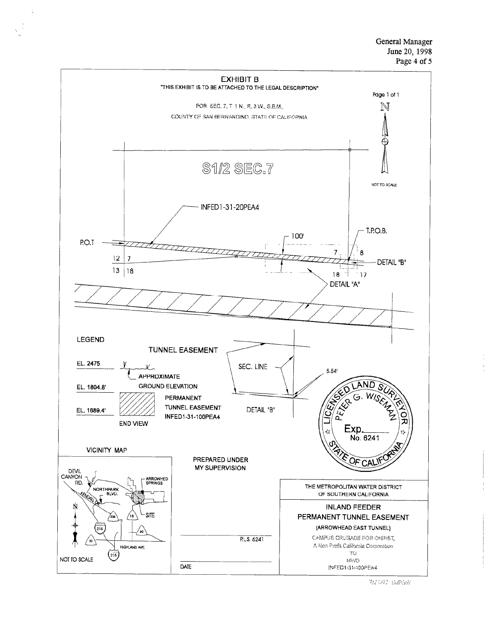General Manager June 20, 1998 Page 4 of 5



 $\frac{1}{2}$ 

7/21/02 BURGAR